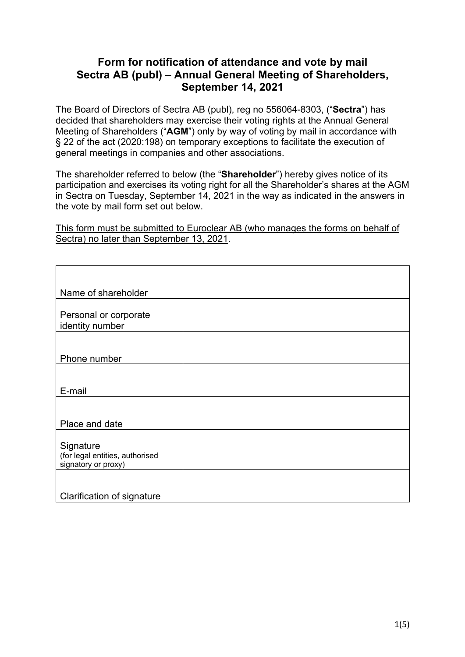## **Form for notification of attendance and vote by mail Sectra AB (publ) – Annual General Meeting of Shareholders, September 14, 2021**

The Board of Directors of Sectra AB (publ), reg no 556064-8303, ("**Sectra**") has decided that shareholders may exercise their voting rights at the Annual General Meeting of Shareholders ("**AGM**") only by way of voting by mail in accordance with § 22 of the act (2020:198) on temporary exceptions to facilitate the execution of general meetings in companies and other associations.

The shareholder referred to below (the "**Shareholder**") hereby gives notice of its participation and exercises its voting right for all the Shareholder's shares at the AGM in Sectra on Tuesday, September 14, 2021 in the way as indicated in the answers in the vote by mail form set out below.

This form must be submitted to Euroclear AB (who manages the forms on behalf of Sectra) no later than September 13, 2021.

| Name of shareholder                          |  |
|----------------------------------------------|--|
| Personal or corporate                        |  |
| identity number                              |  |
|                                              |  |
| Phone number                                 |  |
|                                              |  |
| E-mail                                       |  |
|                                              |  |
| Place and date                               |  |
|                                              |  |
| Signature<br>(for legal entities, authorised |  |
| signatory or proxy)                          |  |
|                                              |  |
| Clarification of signature                   |  |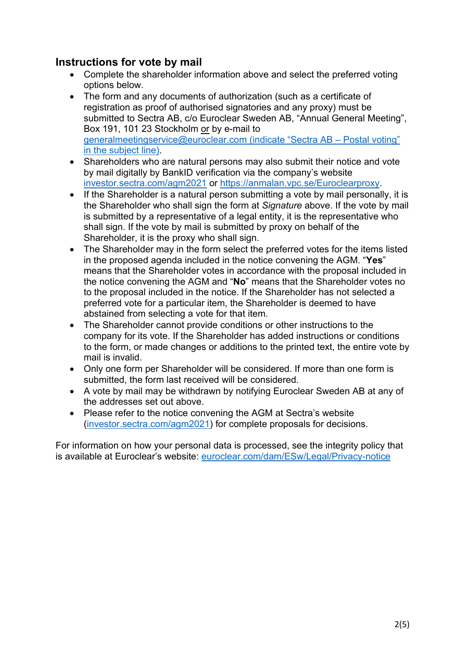## **Instructions for vote by mail**

- Complete the shareholder information above and select the preferred voting options below.
- The form and any documents of authorization (such as a certificate of registration as proof of authorised signatories and any proxy) must be submitted to Sectra AB, c/o Euroclear Sweden AB, "Annual General Meeting", Box 191, 101 23 Stockholm or by e-mail to generalmeetingservice@euroclear.com (indicate "Sectra AB – Postal voting" in the subject line).
- Shareholders who are natural persons may also submit their notice and vote by mail digitally by BankID verification via the company's website investor.sectra.com/agm2021 or https://anmalan.vpc.se/Euroclearproxy.
- If the Shareholder is a natural person submitting a vote by mail personally, it is the Shareholder who shall sign the form at *Signature* above. If the vote by mail is submitted by a representative of a legal entity, it is the representative who shall sign. If the vote by mail is submitted by proxy on behalf of the Shareholder, it is the proxy who shall sign.
- The Shareholder may in the form select the preferred votes for the items listed in the proposed agenda included in the notice convening the AGM. "**Yes**" means that the Shareholder votes in accordance with the proposal included in the notice convening the AGM and "**No**" means that the Shareholder votes no to the proposal included in the notice. If the Shareholder has not selected a preferred vote for a particular item, the Shareholder is deemed to have abstained from selecting a vote for that item.
- The Shareholder cannot provide conditions or other instructions to the company for its vote. If the Shareholder has added instructions or conditions to the form, or made changes or additions to the printed text, the entire vote by mail is invalid.
- Only one form per Shareholder will be considered. If more than one form is submitted, the form last received will be considered.
- A vote by mail may be withdrawn by notifying Euroclear Sweden AB at any of the addresses set out above.
- Please refer to the notice convening the AGM at Sectra's website (investor.sectra.com/agm2021) for complete proposals for decisions.

For information on how your personal data is processed, see the integrity policy that is available at Euroclear's website: euroclear.com/dam/ESw/Legal/Privacy-notice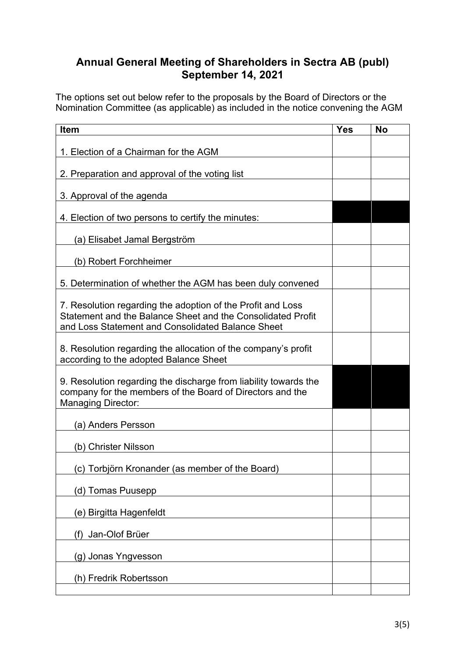## **Annual General Meeting of Shareholders in Sectra AB (publ) September 14, 2021**

The options set out below refer to the proposals by the Board of Directors or the Nomination Committee (as applicable) as included in the notice convening the AGM

| <b>Item</b>                                                                                                                                                                     | <b>Yes</b> | No |
|---------------------------------------------------------------------------------------------------------------------------------------------------------------------------------|------------|----|
| 1. Election of a Chairman for the AGM                                                                                                                                           |            |    |
| 2. Preparation and approval of the voting list                                                                                                                                  |            |    |
| 3. Approval of the agenda                                                                                                                                                       |            |    |
| 4. Election of two persons to certify the minutes:                                                                                                                              |            |    |
| (a) Elisabet Jamal Bergström                                                                                                                                                    |            |    |
| (b) Robert Forchheimer                                                                                                                                                          |            |    |
| 5. Determination of whether the AGM has been duly convened                                                                                                                      |            |    |
| 7. Resolution regarding the adoption of the Profit and Loss<br>Statement and the Balance Sheet and the Consolidated Profit<br>and Loss Statement and Consolidated Balance Sheet |            |    |
| 8. Resolution regarding the allocation of the company's profit<br>according to the adopted Balance Sheet                                                                        |            |    |
| 9. Resolution regarding the discharge from liability towards the<br>company for the members of the Board of Directors and the<br><b>Managing Director:</b>                      |            |    |
| (a) Anders Persson                                                                                                                                                              |            |    |
| (b) Christer Nilsson                                                                                                                                                            |            |    |
| (c) Torbjörn Kronander (as member of the Board)                                                                                                                                 |            |    |
| (d) Tomas Puusepp                                                                                                                                                               |            |    |
| (e) Birgitta Hagenfeldt                                                                                                                                                         |            |    |
| (f) Jan-Olof Brüer                                                                                                                                                              |            |    |
| (g) Jonas Yngvesson                                                                                                                                                             |            |    |
| (h) Fredrik Robertsson                                                                                                                                                          |            |    |
|                                                                                                                                                                                 |            |    |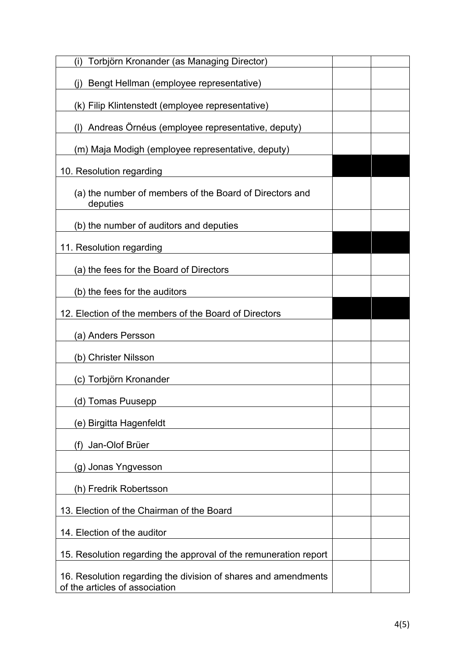| Torbjörn Kronander (as Managing Director)<br>(i)                                                 |  |
|--------------------------------------------------------------------------------------------------|--|
| Bengt Hellman (employee representative)<br>(i)                                                   |  |
| (k) Filip Klintenstedt (employee representative)                                                 |  |
| (I) Andreas Ornéus (employee representative, deputy)                                             |  |
| (m) Maja Modigh (employee representative, deputy)                                                |  |
| 10. Resolution regarding                                                                         |  |
| (a) the number of members of the Board of Directors and<br>deputies                              |  |
| (b) the number of auditors and deputies                                                          |  |
| 11. Resolution regarding                                                                         |  |
| (a) the fees for the Board of Directors                                                          |  |
| (b) the fees for the auditors                                                                    |  |
| 12. Election of the members of the Board of Directors                                            |  |
| (a) Anders Persson                                                                               |  |
| (b) Christer Nilsson                                                                             |  |
| (c) Torbjörn Kronander                                                                           |  |
| (d) Tomas Puusepp                                                                                |  |
| (e) Birgitta Hagenfeldt                                                                          |  |
| Jan-Olof Brüer<br>(f)                                                                            |  |
| (g) Jonas Yngvesson                                                                              |  |
| (h) Fredrik Robertsson                                                                           |  |
| 13. Election of the Chairman of the Board                                                        |  |
| 14. Election of the auditor                                                                      |  |
| 15. Resolution regarding the approval of the remuneration report                                 |  |
| 16. Resolution regarding the division of shares and amendments<br>of the articles of association |  |